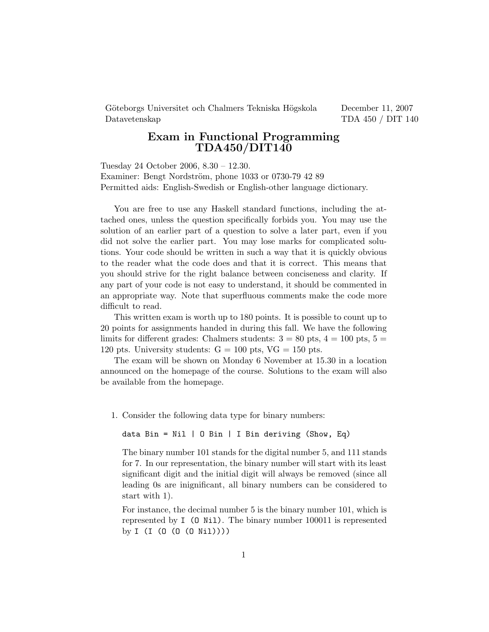Göteborgs Universitet och Chalmers Tekniska Högskola December 11, 2007 Datavetenskap TDA 450 / DIT 140

## Exam in Functional Programming TDA450/DIT140

Tuesday 24 October 2006, 8.30 – 12.30. Examiner: Bengt Nordström, phone 1033 or 0730-79 42 89 Permitted aids: English-Swedish or English-other language dictionary.

You are free to use any Haskell standard functions, including the attached ones, unless the question specifically forbids you. You may use the solution of an earlier part of a question to solve a later part, even if you did not solve the earlier part. You may lose marks for complicated solutions. Your code should be written in such a way that it is quickly obvious to the reader what the code does and that it is correct. This means that you should strive for the right balance between conciseness and clarity. If any part of your code is not easy to understand, it should be commented in an appropriate way. Note that superfluous comments make the code more difficult to read.

This written exam is worth up to 180 points. It is possible to count up to 20 points for assignments handed in during this fall. We have the following limits for different grades: Chalmers students:  $3 = 80$  pts,  $4 = 100$  pts,  $5 =$ 120 pts. University students:  $G = 100$  pts,  $VG = 150$  pts.

The exam will be shown on Monday 6 November at 15.30 in a location announced on the homepage of the course. Solutions to the exam will also be available from the homepage.

1. Consider the following data type for binary numbers:

data Bin = Nil | O Bin | I Bin deriving (Show, Eq)

The binary number 101 stands for the digital number 5, and 111 stands for 7. In our representation, the binary number will start with its least significant digit and the initial digit will always be removed (since all leading 0s are inignificant, all binary numbers can be considered to start with 1).

For instance, the decimal number 5 is the binary number 101, which is represented by I (O Nil). The binary number 100011 is represented by I (I (O (O (O Nil))))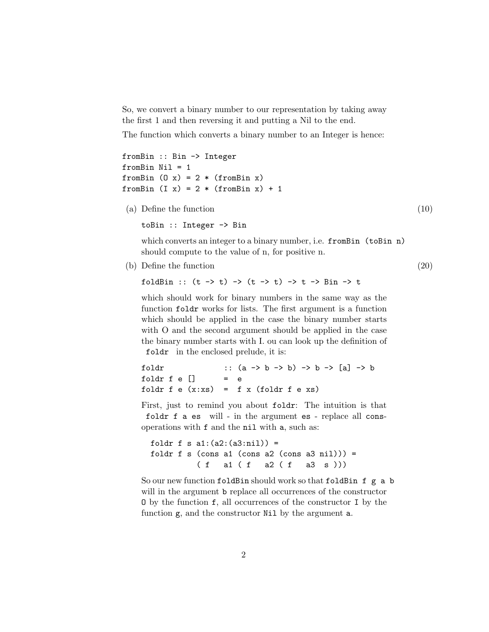So, we convert a binary number to our representation by taking away the first 1 and then reversing it and putting a Nil to the end.

The function which converts a binary number to an Integer is hence:

```
fromBin :: Bin -> Integer
fromBin Nil = 1
fromBin (0 x) = 2 * (fromBin x)fromBin (I x) = 2 * (fromBin x) + 1
```
(a) Define the function (10)

toBin :: Integer -> Bin

which converts an integer to a binary number, i.e. fromBin (toBin n) should compute to the value of n, for positive n.

(b) Define the function (20)

foldBin ::  $(t \to t) \to (t \to t) \to t \to \text{Bin} \to t$ 

which should work for binary numbers in the same way as the function foldr works for lists. The first argument is a function which should be applied in the case the binary number starts with O and the second argument should be applied in the case the binary number starts with I. ou can look up the definition of foldr in the enclosed prelude, it is:

```
foldr :: (a \rightarrow b \rightarrow b) \rightarrow b \rightarrow [a] \rightarrow bfoldr f \in []foldr f e (x:xs) = f x (foldr f e xs)
```
First, just to remind you about foldr: The intuition is that foldr f a es will - in the argument es - replace all consoperations with f and the nil with a, such as:

```
foldr f s a1:(a2:(a3:nil)) =
foldr f s (cons a1 (cons a2 (cons a3 nil))) =
         ( f a1 ( f a2 ( f a3 s )))
```
So our new function foldBin should work so that foldBin f g a b will in the argument **b** replace all occurrences of the constructor O by the function f, all occurrences of the constructor I by the function g, and the constructor Nil by the argument a.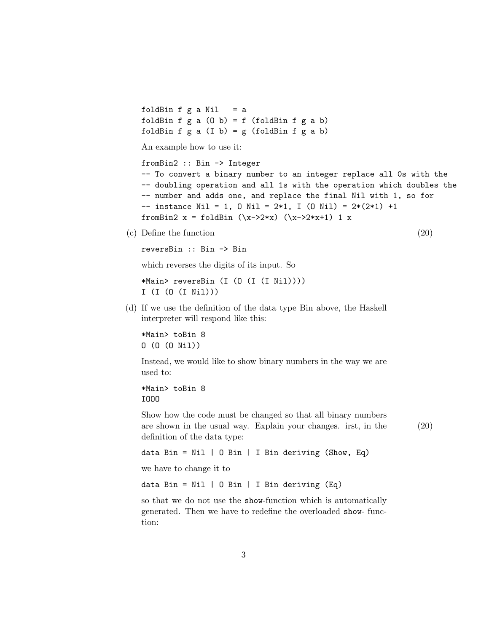foldBin f  $g$  a Nil = a foldBin  $f$   $g$   $a$   $(0 b) = f$  (foldBin  $f$   $g$   $a$   $b$ ) foldBin  $f$   $g$   $a$   $(I$   $b)$  =  $g$   $(f$ oldBin  $f$   $g$   $a$   $b)$ 

An example how to use it:

```
fromBin2 :: Bin -> Integer
-- To convert a binary number to an integer replace all 0s with the
-- doubling operation and all 1s with the operation which doubles the
-- number and adds one, and replace the final Nil with 1, so for
-- instance Nil = 1, 0 Nil = 2*1, I (0 Nil) = 2*(2*1) +1
fromBin2 x = foldBin (\x->2*x) (\x->2*x+1) 1 x
```
(c) Define the function (20)

```
reversBin :: Bin -> Bin
```
which reverses the digits of its input. So

```
*Main> reversBin (I (O (I (I Nil))))
I (I (O (I Nil)))
```
(d) If we use the definition of the data type Bin above, the Haskell interpreter will respond like this:

\*Main> toBin 8 O (O (O Nil))

Instead, we would like to show binary numbers in the way we are used to:

```
*Main> toBin 8
IOOO
```
Show how the code must be changed so that all binary numbers are shown in the usual way. Explain your changes. irst, in the (20) definition of the data type:

```
data Bin = Nil | 0 Bin | I Bin deriving (Show, Eq)
```
we have to change it to

data Bin = Nil  $\vert$  0 Bin  $\vert$  I Bin deriving (Eq)

so that we do not use the show-function which is automatically generated. Then we have to redefine the overloaded show- function: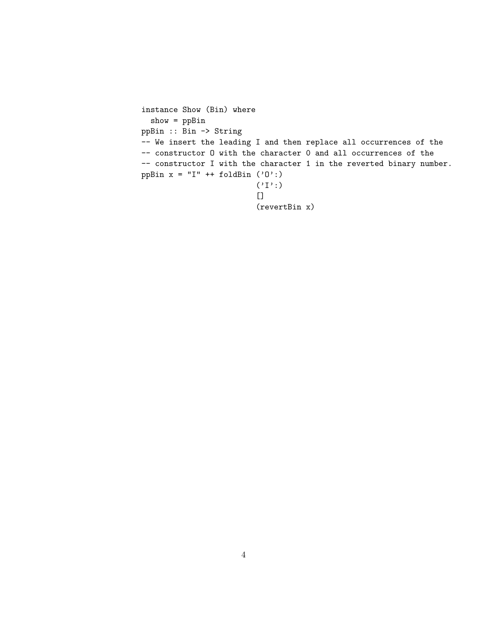```
instance Show (Bin) where
  show = ppBin
ppBin :: Bin -> String
-- We insert the leading I and then replace all occurrences of the
-- constructor O with the character 0 and all occurrences of the
-- constructor I with the character 1 in the reverted binary number.
ppBin x = "I" + foldBin ('0':)(\, \tt', \tt') : )\Box(revertBin x)
```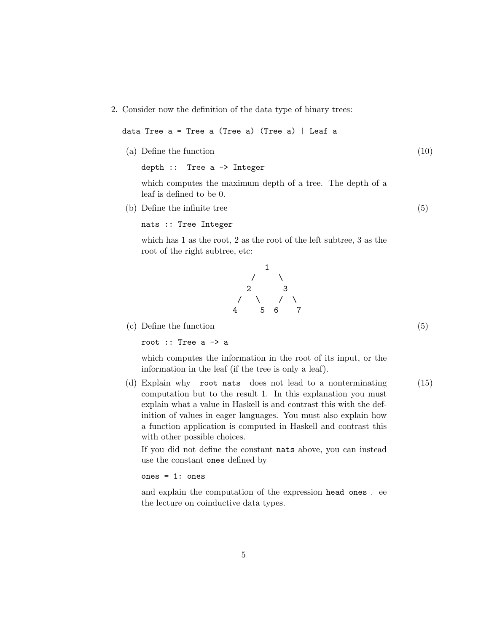2. Consider now the definition of the data type of binary trees:

data Tree a = Tree a (Tree a) (Tree a) | Leaf a

(a) Define the function (10)

```
depth :: Tree a -> Integer
```
which computes the maximum depth of a tree. The depth of a leaf is defined to be 0.

(b) Define the infinite tree (5)

```
nats :: Tree Integer
```
which has 1 as the root, 2 as the root of the left subtree, 3 as the root of the right subtree, etc:

> 1  $\sqrt{2}$ 2 3 / \ / \ 4 5 6 7

(c) Define the function (5)

root :: Tree a -> a

which computes the information in the root of its input, or the information in the leaf (if the tree is only a leaf).

(d) Explain why root nats does not lead to a nonterminating (15) computation but to the result 1. In this explanation you must explain what a value in Haskell is and contrast this with the definition of values in eager languages. You must also explain how a function application is computed in Haskell and contrast this with other possible choices.

If you did not define the constant nats above, you can instead use the constant ones defined by

## ones = 1: ones

and explain the computation of the expression head ones . ee the lecture on coinductive data types.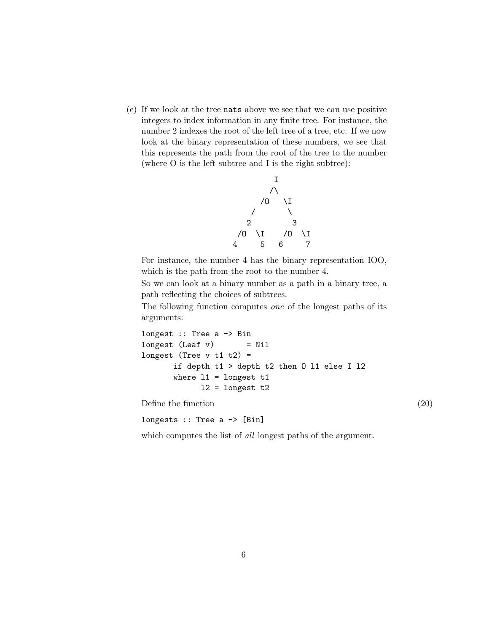(e) If we look at the tree nats above we see that we can use positive integers to index information in any finite tree. For instance, the number 2 indexes the root of the left tree of a tree, etc. If we now look at the binary representation of these numbers, we see that this represents the path from the root of the tree to the number (where O is the left subtree and I is the right subtree):



For instance, the number 4 has the binary representation IOO, which is the path from the root to the number 4.

So we can look at a binary number as a path in a binary tree, a path reflecting the choices of subtrees.

The following function computes one of the longest paths of its arguments:

```
longest :: Tree a -> Bin
longest (Leaf v) = Nil
longest (Tree v t1 t2) =
      if depth t1 > depth t2 then O l1 else I l2
      where 11 = longest t112 = longest t2
```
Define the function  $(20)$ 

longests :: Tree a -> [Bin]

which computes the list of *all* longest paths of the argument.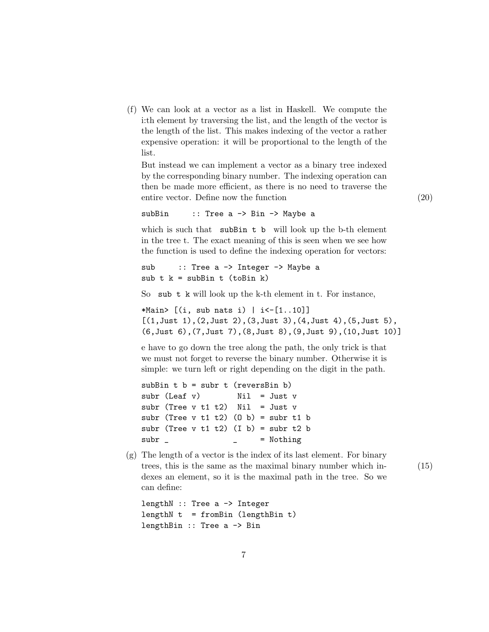(f) We can look at a vector as a list in Haskell. We compute the i:th element by traversing the list, and the length of the vector is the length of the list. This makes indexing of the vector a rather expensive operation: it will be proportional to the length of the list.

But instead we can implement a vector as a binary tree indexed by the corresponding binary number. The indexing operation can then be made more efficient, as there is no need to traverse the entire vector. Define now the function (20)

subBin :: Tree a -> Bin -> Maybe a

which is such that subBin t b will look up the b-th element in the tree t. The exact meaning of this is seen when we see how the function is used to define the indexing operation for vectors:

```
sub :: Tree a -> Integer -> Maybe a
sub t k = subBin t (toBin k)
```
So sub t k will look up the k-th element in t. For instance,

\*Main>  $[(i, sub nats i) | i<-[1..10]]$  $[(1,$  Just  $1),$   $(2,$  Just  $2),$   $(3,$  Just  $3),$   $(4,$  Just  $4),$   $(5,$  Just  $5),$ (6,Just 6),(7,Just 7),(8,Just 8),(9,Just 9),(10,Just 10)]

e have to go down the tree along the path, the only trick is that we must not forget to reverse the binary number. Otherwise it is simple: we turn left or right depending on the digit in the path.

subBin  $t$   $b$  = subr  $t$  (reversBin  $b$ )  $subr$  (Leaf v)  $Nil = Just v$ subr (Tree  $v$  t1 t2) Nil = Just  $v$ subr (Tree  $v$  t1 t2) (0 b) = subr t1 b subr (Tree  $v$  t1 t2) (I b) = subr t2 b  $subr$   $=$  Nothing

(g) The length of a vector is the index of its last element. For binary trees, this is the same as the maximal binary number which in- (15) dexes an element, so it is the maximal path in the tree. So we can define:

```
lengthN :: Tree a -> Integer
lengthN t = fromBin (lengthBin t)
lengthBin :: Tree a -> Bin
```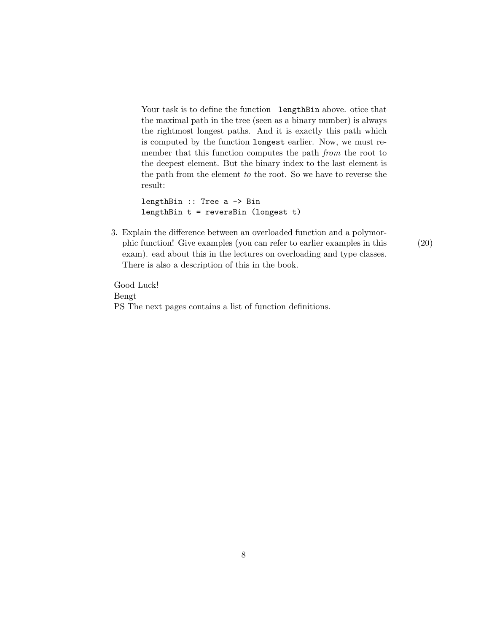Your task is to define the function lengthBin above. otice that the maximal path in the tree (seen as a binary number) is always the rightmost longest paths. And it is exactly this path which is computed by the function longest earlier. Now, we must remember that this function computes the path *from* the root to the deepest element. But the binary index to the last element is the path from the element to the root. So we have to reverse the result:

```
lengthBin :: Tree a -> Bin
lengthBin t = reversBin (longest t)
```
3. Explain the difference between an overloaded function and a polymorphic function! Give examples (you can refer to earlier examples in this (20) exam). ead about this in the lectures on overloading and type classes. There is also a description of this in the book.

Good Luck! Bengt PS The next pages contains a list of function definitions.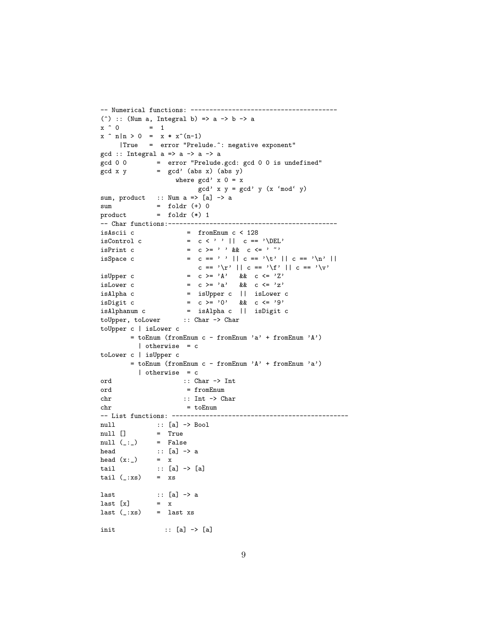```
-- Numerical functions: ---------------------------------------
(\hat{ }) :: (Num a, Integral b) => a -> b -> a
x \uparrow 0 = 1
x \cap n|n > 0 = x * x^(n-1)|True = error "Prelude.^: negative exponent"
gcd :: Integral a \Rightarrow a \Rightarrow a \Rightarrow agcd 0 0 = error "Prelude.gcd: gcd 0 0 is undefined"
gcd x y = gcd' (abs x) (abs y)where gcd' x 0 = x
                            gcd' x y = gcd' y (x \text{ 'mod' } y)sum, product :: Num a \Rightarrow [a] \rightarrow asum = foldr (+) 0
product = foldr (*) 1-- Char functions:---------------------------------------------
isAscii c = fromEnum c < 128<br>isControl c = c < '' || c ==
\begin{array}{lll} \text{isControl c} & = & c \iff' & || & c == \text{'\text{DEL'}}\\ \text{isPrint c} & = & c \iff' & \& & c \iff' \text{``\text{``\texttt{``\texttt{``}}''} \end{array}= c > = ' ' && c < = ' ' 'isSpace c = c == ' ' || c == '\t' || c == '\n' ||
                            c == '\r' || c == '\f' || c == '\v'
isUpper c = c >= 'A' && c <= 'Z'
is<br>Lower c = c >= 'a' && c <= 'z'
isAlpha c = isUpper c || isLower c
isDigit c = c >= '0' && c <= '9'
isAlphanum c = isAlpha c || isDigit c
toUpper, toLower :: Char -> Char
toUpper c | isLower c
        \quad \  \  \, = \; \texttt{toEnum} \; \; (\texttt{fromEnum} \; \; c \; - \; \texttt{fromEnum} \; \; 'a' \; + \; \texttt{fromEnum} \; \; 'A')| otherwise = c
toLower c | isUpper c
        = toEnum (fromEnum c - fromEnum 'A' + fromEnum 'a')
           | otherwise = c
ord :: Char -> Int
ord = fromEnum
chr :: Int -> Char
chr = toEnum
-- List functions: -----------------------------------------------
null :: [a] -> Bool
null [] = True<br>null (\_ : \_ ) = False
null (\_:\_)\begin{array}{lll} \text{head} & \text{::} & \text{[a]} \; \mathop{\rightarrow} \; \text{a} \\ \text{head} & \text{(x:-)} & = & \text{x} \end{array}head (x:-)tail :: [a] -> [a]
tail (\_:xs) = xs
last \qquad :: [a] \rightarrow a
last [x] = xlast (\_:xs) = last xs
init :: [a] -> [a]
```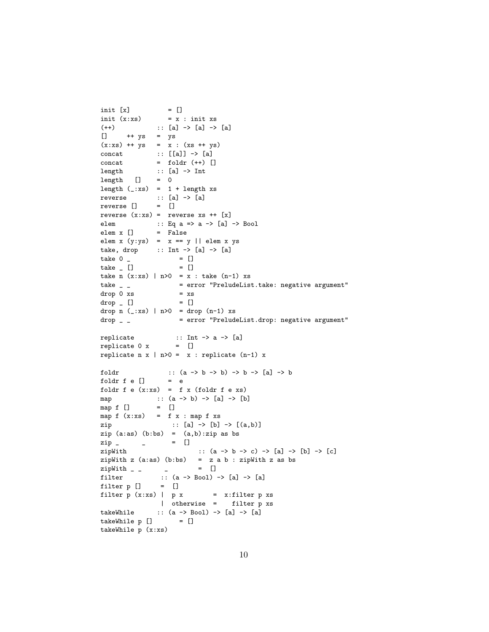```
init [x] = []
init (x:xs) = x : init xs(++) :: [a] -> [a] -> [a]
[] ++ ys = ys
(x:xs) + + ys = x : (xs + ys)concat :: [[a]] -> [a]
concat = foldr (++) []\begin{minipage}{.4\linewidth} \textbf{length} & \textbf{if} \textbf{a} & \textbf{-&} \textbf{Int} \end{minipage}\begin{tabular}{ccc} \multicolumn{1}{c}{\text{length}} & \multicolumn{1}{c}{\text{[}} & = & 0 \end{tabular}length (\_:xs) = 1 + length xsreverse :: [a] -> [a]
reverse [] = []
reverse (x:xs) = reverse xs ++ [x]elem :: Eq a => a -> [a] -> Bool
elem x [] = False
elem x (y:ys) = x == y || elem x ystake, drop :: Int \rightarrow [a] \rightarrow [a]
take 0 \qquad = []
\text{take} \Box = \Boxtake n (x:xs) | n>0 = x : take (n-1) xs
take _ _ = error "PreludeList.take: negative argument"
drop 0 xs = xsdrop \_ [ ] = []
drop n (\_:xs) | n>0 = drop (n-1) xs
drop _ _ = error "PreludeList.drop: negative argument"
\texttt{replicate} \qquad \qquad \texttt{::} \ \ \texttt{Int} \ \texttt{-&} \ \ \texttt{a} \ \texttt{-&} \ \ \texttt{[a]}replicate 0 x = []replicate n x | n>0 = x : replicate (n-1) x
foldr :: (a \rightarrow b \rightarrow b) \rightarrow b \rightarrow [a] \rightarrow bfoldr f e [] = efoldr f e (x:xs) = f x (foldr f e xs)
map :: (a \rightarrow b) \rightarrow [a] \rightarrow [b]<br>map f [] = []
map f []map f(x:xs) = f(x : map f xs)zip :: [a] -> [b] -> [(a,b)]
zip (a:as) (b:bs) = (a,b):zip as bs
zip _ _ = []
zipWith :: (a -> b -> c) -> [a] -> [b] -> [c]
zipWith z (a:as) (b:bs) = z a b : zipWith z as bs<br>
zipWith _ _ _ _ _ = []
zipWith - -filter :: (a \rightarrow Bool) \rightarrow [a] \rightarrow [a]filter p [] = []filter p(x:xs) | p(x) = x:filter pxs
                | otherwise = filter p xs
takeWhile :: (a \rightarrow Boo1) \rightarrow [a] \rightarrow [a]takeWhile p [] = []takeWhile p (x:xs)
```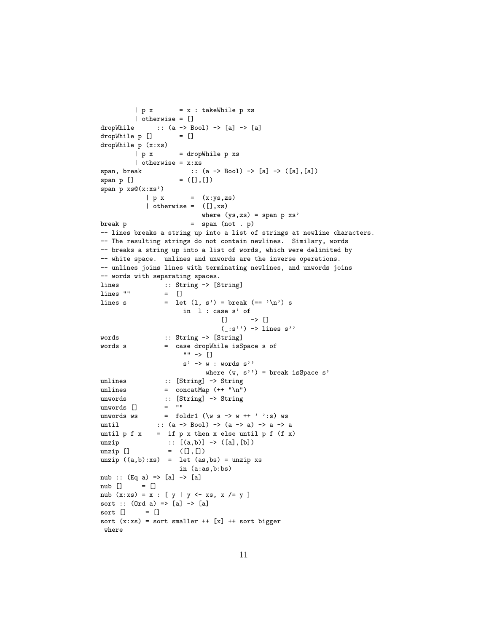```
| p x = x : takeWhile p xs| otherwise = []
dropWhile :: (a \rightarrow Bool) \rightarrow [a] \rightarrow [a]dropWhile p [] = []
dropWhile p (x:xs)
         | p x = dropWhile p xs
         | otherwise = x:xs
span, break :: (a -> Bool) -> [a] -> ([a],[a])
\verb|span p []\verb|| = ([] , [])span p xs@(x:xs')
            | p x = (x:ys, zs)| otherwise = ([], xs)where (ys,zs) = span p xs'
\begin{array}{lcl} \texttt{break} & \texttt{p} & = & \texttt{span} \ (\texttt{not} \ . \ \texttt{p}) \end{array}-- lines breaks a string up into a list of strings at newline characters.
-- The resulting strings do not contain newlines. Similary, words
-- breaks a string up into a list of words, which were delimited by
-- white space. unlines and unwords are the inverse operations.
-- unlines joins lines with terminating newlines, and unwords joins
-- words with separating spaces.
lines :: String -> [String]
lines "" = []
lines s = let (1, s') = break (== '\n') sin l : case s' of
                                  [] \rightarrow []
                                  (\_:\!s'') \rightarrow lines s''
words :: String -> [String]
words s = case dropWhile isSpace s of
                       "" -> []
                       s' \rightarrow w : words s''
                             where (w, s'') = break isSpace s'
unlines :: [String] -> String
unlines = concatMap (+ "\n\frac{n}{)}unwords :: [String] \rightarrow String<br>unwords [] = ""unwords []
unwords ws = foldr1 (\wedge \wedge s \rightarrow w +' ' : s) ws
until :: (a \rightarrow Boo1) \rightarrow (a \rightarrow a) \rightarrow a \rightarrow auntil p f x = if p x then x else until p f (f x)unzip :: [(a,b)] \rightarrow ([a], [b])unzip [] = ([], []unzip ((a,b):xs) = let (as,bs) = unzip xsin (a:as,b:bs)
nub :: (Eq a) \Rightarrow [a] \Rightarrow [a]nub [] = []
nub (x:xs) = x : [y | y \leftarrow xs, x \neq y]sort :: (Ord a) \Rightarrow [a] \Rightarrow [a]sort [] = []
sort (x:xs) = sort smaller ++ [x] ++ sort bigger
 where
```